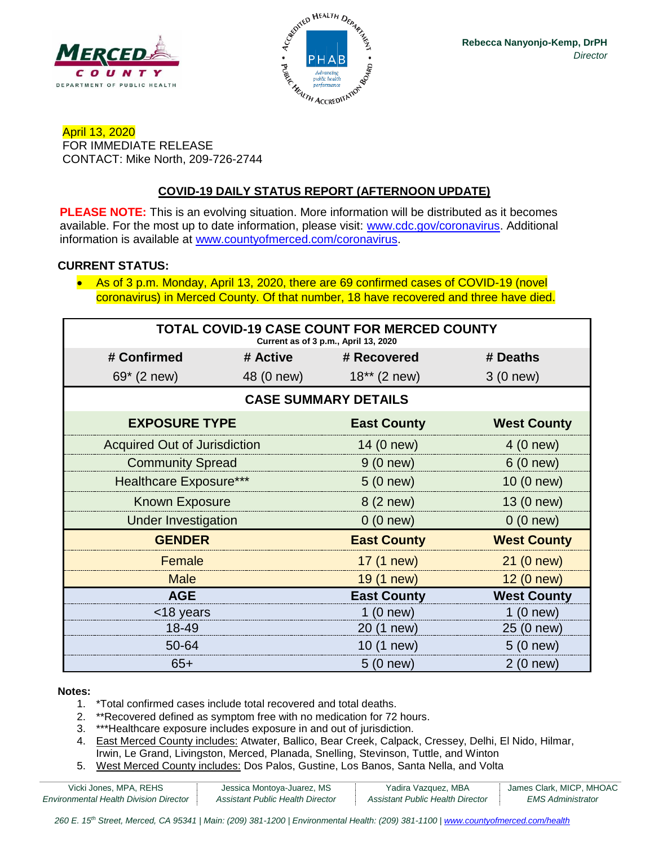



April 13, 2020 FOR IMMEDIATE RELEASE CONTACT: Mike North, 209-726-2744

# **COVID-19 DAILY STATUS REPORT (AFTERNOON UPDATE)**

**PLEASE NOTE:** This is an evolving situation. More information will be distributed as it becomes available. For the most up to date information, please visit: [www.cdc.gov/coronavirus.](http://www.cdc.gov/coronavirus) Additional information is available at [www.countyofmerced.com/coronavirus.](http://www.countyofmerced.com/coronavirus)

### **CURRENT STATUS:**

• As of 3 p.m. Monday, April 13, 2020, there are 69 confirmed cases of COVID-19 (novel coronavirus) in Merced County. Of that number, 18 have recovered and three have died.

| <b>TOTAL COVID-19 CASE COUNT FOR MERCED COUNTY</b><br>Current as of 3 p.m., April 13, 2020 |            |                    |                    |  |  |
|--------------------------------------------------------------------------------------------|------------|--------------------|--------------------|--|--|
| # Confirmed                                                                                | # Active   | # Recovered        | # Deaths           |  |  |
| 69* (2 new)                                                                                | 48 (0 new) | $18**$ (2 new)     | 3 (0 new)          |  |  |
| <b>CASE SUMMARY DETAILS</b>                                                                |            |                    |                    |  |  |
| <b>EXPOSURE TYPE</b>                                                                       |            | <b>East County</b> | <b>West County</b> |  |  |
| <b>Acquired Out of Jurisdiction</b>                                                        |            | 14 (0 new)         | 4 (0 new)          |  |  |
| <b>Community Spread</b>                                                                    |            | 9(0 new)           | 6(0 new)           |  |  |
| <b>Healthcare Exposure***</b>                                                              |            | 5(0 new)           | 10 (0 new)         |  |  |
| <b>Known Exposure</b>                                                                      |            | 8 (2 new)          | 13 (0 new)         |  |  |
| <b>Under Investigation</b>                                                                 |            | 0(0 new)           | 0(0 new)           |  |  |
| <b>GENDER</b>                                                                              |            | <b>East County</b> | <b>West County</b> |  |  |
| Female                                                                                     |            | 17 (1 new)         | 21 (0 new)         |  |  |
| <b>Male</b>                                                                                |            | 19 (1 new)         | 12 (0 new)         |  |  |
| <b>AGE</b>                                                                                 |            | <b>East County</b> | <b>West County</b> |  |  |
| <18 years                                                                                  |            | 1(0 new)           | 1(0 new)           |  |  |
| 18-49                                                                                      |            | 20 (1 new)         | 25 (0 new)         |  |  |
| 50-64                                                                                      |            | 10 (1 new)         | 5(0 new)           |  |  |
| $65+$                                                                                      |            | $5(0)$ new)        | 2(0 new)           |  |  |

#### **Notes:**

- 1. \*Total confirmed cases include total recovered and total deaths.
- 2. \*\*Recovered defined as symptom free with no medication for 72 hours.
- 3. \*\*\*Healthcare exposure includes exposure in and out of jurisdiction.
- 4. East Merced County includes: Atwater, Ballico, Bear Creek, Calpack, Cressey, Delhi, El Nido, Hilmar, Irwin, Le Grand, Livingston, Merced, Planada, Snelling, Stevinson, Tuttle, and Winton
- 5. West Merced County includes: Dos Palos, Gustine, Los Banos, Santa Nella, and Volta

| Vicki Jones, MPA, REHS                        | Jessica Montoya-Juarez, MS       | Yadira Vazquez, MBA              | James Clark, MICP, MHOAC |
|-----------------------------------------------|----------------------------------|----------------------------------|--------------------------|
| <b>Environmental Health Division Director</b> | Assistant Public Health Director | Assistant Public Health Director | <i>EMS Administrator</i> |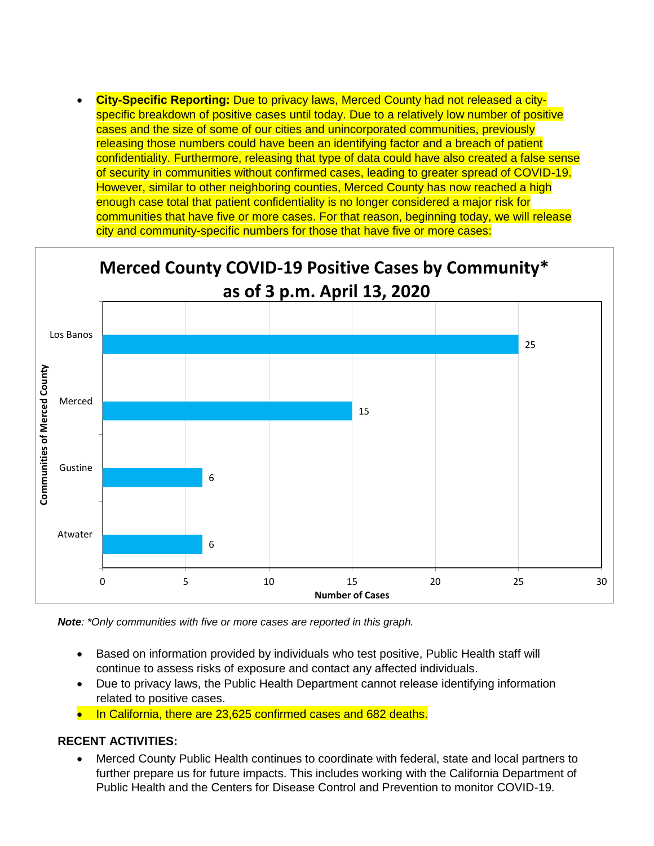• **City-Specific Reporting:** Due to privacy laws, Merced County had not released a cityspecific breakdown of positive cases until today. Due to a relatively low number of positive cases and the size of some of our cities and unincorporated communities, previously releasing those numbers could have been an identifying factor and a breach of patient confidentiality. Furthermore, releasing that type of data could have also created a false sense of security in communities without confirmed cases, leading to greater spread of COVID-19. However, similar to other neighboring counties, Merced County has now reached a high enough case total that patient confidentiality is no longer considered a major risk for communities that have five or more cases. For that reason, beginning today, we will release city and community-specific numbers for those that have five or more cases:



*Note: \*Only communities with five or more cases are reported in this graph.*

- Based on information provided by individuals who test positive, Public Health staff will continue to assess risks of exposure and contact any affected individuals.
- Due to privacy laws, the Public Health Department cannot release identifying information related to positive cases.
- In California, there are 23,625 confirmed cases and 682 deaths.

#### **RECENT ACTIVITIES:**

• Merced County Public Health continues to coordinate with federal, state and local partners to further prepare us for future impacts. This includes working with the California Department of Public Health and the Centers for Disease Control and Prevention to monitor COVID-19.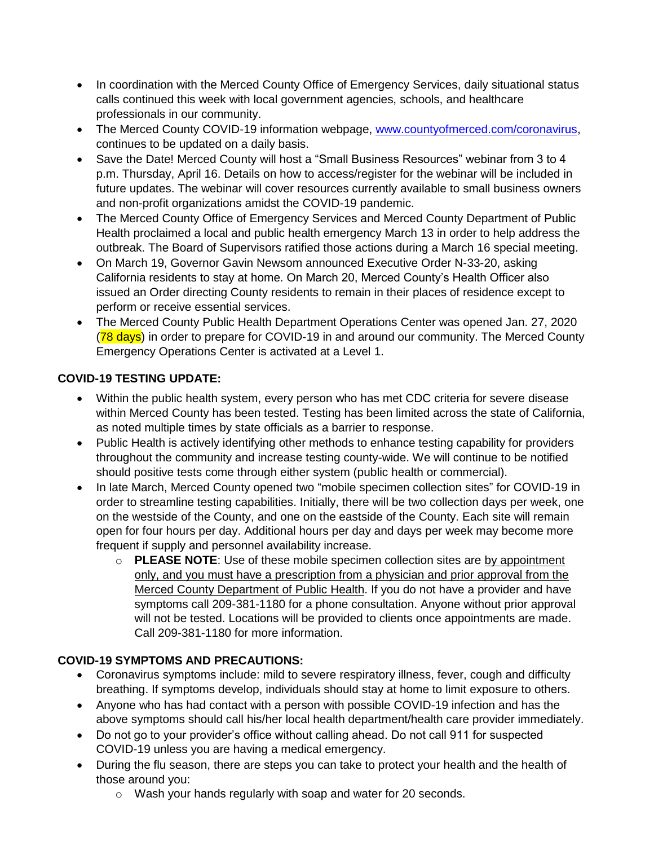- In coordination with the Merced County Office of Emergency Services, daily situational status calls continued this week with local government agencies, schools, and healthcare professionals in our community.
- The Merced County COVID-19 information webpage, [www.countyofmerced.com/coronavirus,](http://www.countyofmerced.com/coronavirus) continues to be updated on a daily basis.
- Save the Date! Merced County will host a "Small Business Resources" webinar from 3 to 4 p.m. Thursday, April 16. Details on how to access/register for the webinar will be included in future updates. The webinar will cover resources currently available to small business owners and non-profit organizations amidst the COVID-19 pandemic.
- The Merced County Office of Emergency Services and Merced County Department of Public Health proclaimed a local and public health emergency March 13 in order to help address the outbreak. The Board of Supervisors ratified those actions during a March 16 special meeting.
- On March 19, Governor Gavin Newsom announced Executive Order N-33-20, asking California residents to stay at home. On March 20, Merced County's Health Officer also issued an Order directing County residents to remain in their places of residence except to perform or receive essential services.
- The Merced County Public Health Department Operations Center was opened Jan. 27, 2020 (78 days) in order to prepare for COVID-19 in and around our community. The Merced County Emergency Operations Center is activated at a Level 1.

# **COVID-19 TESTING UPDATE:**

- Within the public health system, every person who has met CDC criteria for severe disease within Merced County has been tested. Testing has been limited across the state of California, as noted multiple times by state officials as a barrier to response.
- Public Health is actively identifying other methods to enhance testing capability for providers throughout the community and increase testing county-wide. We will continue to be notified should positive tests come through either system (public health or commercial).
- In late March, Merced County opened two "mobile specimen collection sites" for COVID-19 in order to streamline testing capabilities. Initially, there will be two collection days per week, one on the westside of the County, and one on the eastside of the County. Each site will remain open for four hours per day. Additional hours per day and days per week may become more frequent if supply and personnel availability increase.
	- o **PLEASE NOTE**: Use of these mobile specimen collection sites are by appointment only, and you must have a prescription from a physician and prior approval from the Merced County Department of Public Health. If you do not have a provider and have symptoms call 209-381-1180 for a phone consultation. Anyone without prior approval will not be tested. Locations will be provided to clients once appointments are made. Call 209-381-1180 for more information.

## **COVID-19 SYMPTOMS AND PRECAUTIONS:**

- Coronavirus symptoms include: mild to severe respiratory illness, fever, cough and difficulty breathing. If symptoms develop, individuals should stay at home to limit exposure to others.
- Anyone who has had contact with a person with possible COVID-19 infection and has the above symptoms should call his/her local health department/health care provider immediately.
- Do not go to your provider's office without calling ahead. Do not call 911 for suspected COVID-19 unless you are having a medical emergency.
- During the flu season, there are steps you can take to protect your health and the health of those around you:
	- o Wash your hands regularly with soap and water for 20 seconds.